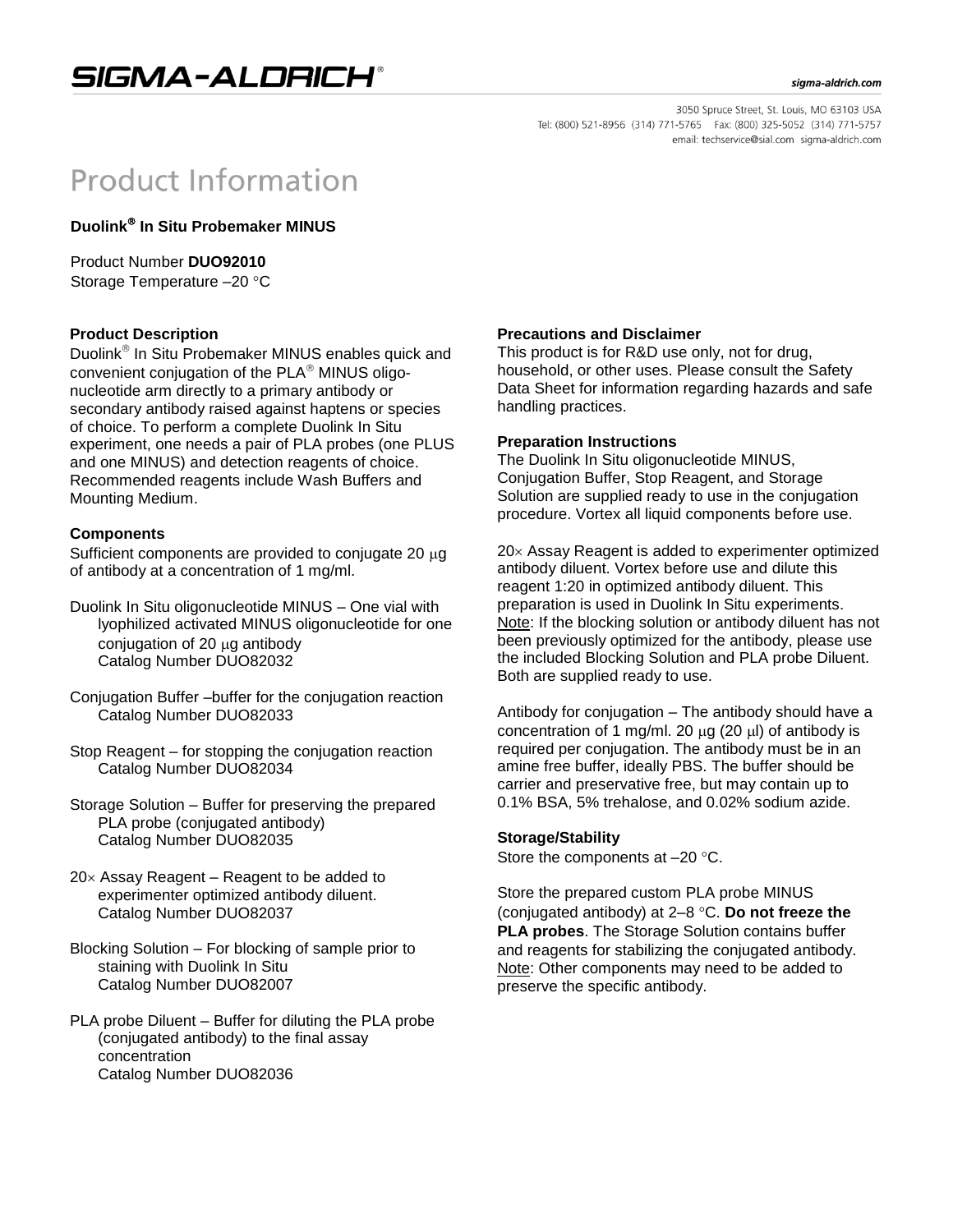

#### sigma-aldrich.com

3050 Spruce Street, St. Louis, MO 63103 USA Tel: (800) 521-8956 (314) 771-5765 Fax: (800) 325-5052 (314) 771-5757 email: techservice@sial.com sigma-aldrich.com

# **Product Information**

**Duolink In Situ Probemaker MINUS**

Product Number **DUO92010** Storage Temperature -20 °C

## **Product Description**

Duolink<sup>®</sup> In Situ Probemaker MINUS enables quick and convenient conjugation of the  $PLA^@$  MINUS oligonucleotide arm directly to a primary antibody or secondary antibody raised against haptens or species of choice. To perform a complete Duolink In Situ experiment, one needs a pair of PLA probes (one PLUS and one MINUS) and detection reagents of choice. Recommended reagents include Wash Buffers and Mounting Medium.

### **Components**

Sufficient components are provided to conjugate 20  $\mu$ g of antibody at a concentration of 1 mg/ml.

- Duolink In Situ oligonucleotide MINUS One vial with lyophilized activated MINUS oligonucleotide for one conjugation of 20 µg antibody Catalog Number DUO82032
- Conjugation Buffer –buffer for the conjugation reaction Catalog Number DUO82033
- Stop Reagent for stopping the conjugation reaction Catalog Number DUO82034
- Storage Solution Buffer for preserving the prepared PLA probe (conjugated antibody) Catalog Number DUO82035
- $20\times$  Assay Reagent Reagent to be added to experimenter optimized antibody diluent. Catalog Number DUO82037
- Blocking Solution For blocking of sample prior to staining with Duolink In Situ Catalog Number DUO82007
- PLA probe Diluent Buffer for diluting the PLA probe (conjugated antibody) to the final assay concentration Catalog Number DUO82036

### **Precautions and Disclaimer**

This product is for R&D use only, not for drug, household, or other uses. Please consult the Safety Data Sheet for information regarding hazards and safe handling practices.

### **Preparation Instructions**

The Duolink In Situ oligonucleotide MINUS, Conjugation Buffer, Stop Reagent, and Storage Solution are supplied ready to use in the conjugation procedure. Vortex all liquid components before use.

 $20 \times$  Assay Reagent is added to experimenter optimized antibody diluent. Vortex before use and dilute this reagent 1:20 in optimized antibody diluent. This preparation is used in Duolink In Situ experiments. Note: If the blocking solution or antibody diluent has not been previously optimized for the antibody, please use the included Blocking Solution and PLA probe Diluent. Both are supplied ready to use.

Antibody for conjugation – The antibody should have a concentration of 1 mg/ml. 20  $\mu$ g (20  $\mu$ ) of antibody is required per conjugation. The antibody must be in an amine free buffer, ideally PBS. The buffer should be carrier and preservative free, but may contain up to 0.1% BSA, 5% trehalose, and 0.02% sodium azide.

### **Storage/Stability**

Store the components at  $-20$  °C.

Store the prepared custom PLA probe MINUS (conjugated antibody) at 2–8 °C. Do not freeze the **PLA probes**. The Storage Solution contains buffer and reagents for stabilizing the conjugated antibody. Note: Other components may need to be added to preserve the specific antibody.